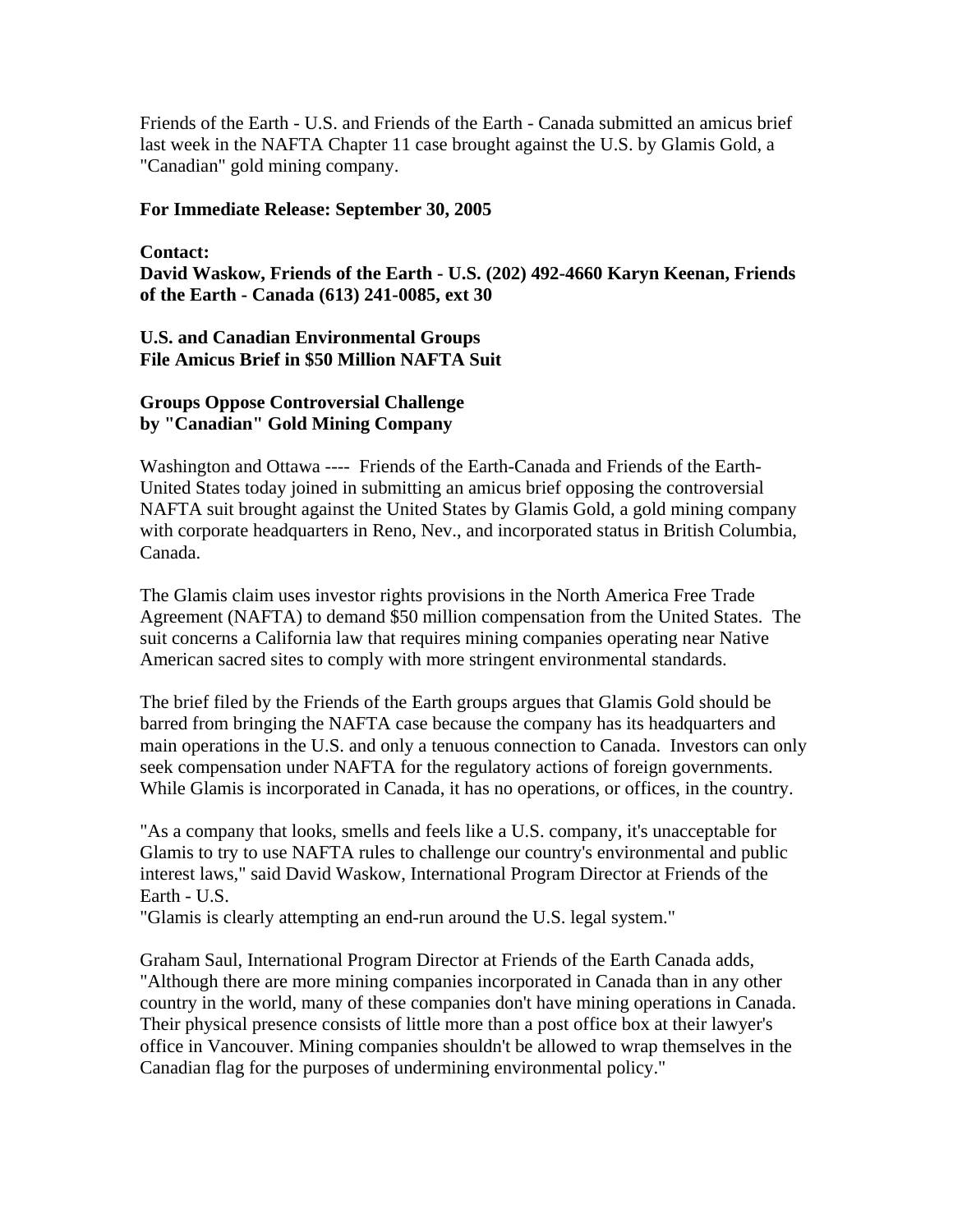Friends of the Earth - U.S. and Friends of the Earth - Canada submitted an amicus brief last week in the NAFTA Chapter 11 case brought against the U.S. by Glamis Gold, a "Canadian" gold mining company.

## **For Immediate Release: September 30, 2005**

## **Contact:**

**David Waskow, Friends of the Earth - U.S. (202) 492-4660 Karyn Keenan, Friends of the Earth - Canada (613) 241-0085, ext 30** 

## **U.S. and Canadian Environmental Groups File Amicus Brief in \$50 Million NAFTA Suit**

## **Groups Oppose Controversial Challenge by "Canadian" Gold Mining Company**

Washington and Ottawa ---- Friends of the Earth-Canada and Friends of the Earth-United States today joined in submitting an amicus brief opposing the controversial NAFTA suit brought against the United States by Glamis Gold, a gold mining company with corporate headquarters in Reno, Nev., and incorporated status in British Columbia, Canada.

The Glamis claim uses investor rights provisions in the North America Free Trade Agreement (NAFTA) to demand \$50 million compensation from the United States. The suit concerns a California law that requires mining companies operating near Native American sacred sites to comply with more stringent environmental standards.

The brief filed by the Friends of the Earth groups argues that Glamis Gold should be barred from bringing the NAFTA case because the company has its headquarters and main operations in the U.S. and only a tenuous connection to Canada. Investors can only seek compensation under NAFTA for the regulatory actions of foreign governments. While Glamis is incorporated in Canada, it has no operations, or offices, in the country.

"As a company that looks, smells and feels like a U.S. company, it's unacceptable for Glamis to try to use NAFTA rules to challenge our country's environmental and public interest laws," said David Waskow, International Program Director at Friends of the Earth - U.S.

"Glamis is clearly attempting an end-run around the U.S. legal system."

Graham Saul, International Program Director at Friends of the Earth Canada adds, "Although there are more mining companies incorporated in Canada than in any other country in the world, many of these companies don't have mining operations in Canada. Their physical presence consists of little more than a post office box at their lawyer's office in Vancouver. Mining companies shouldn't be allowed to wrap themselves in the Canadian flag for the purposes of undermining environmental policy."